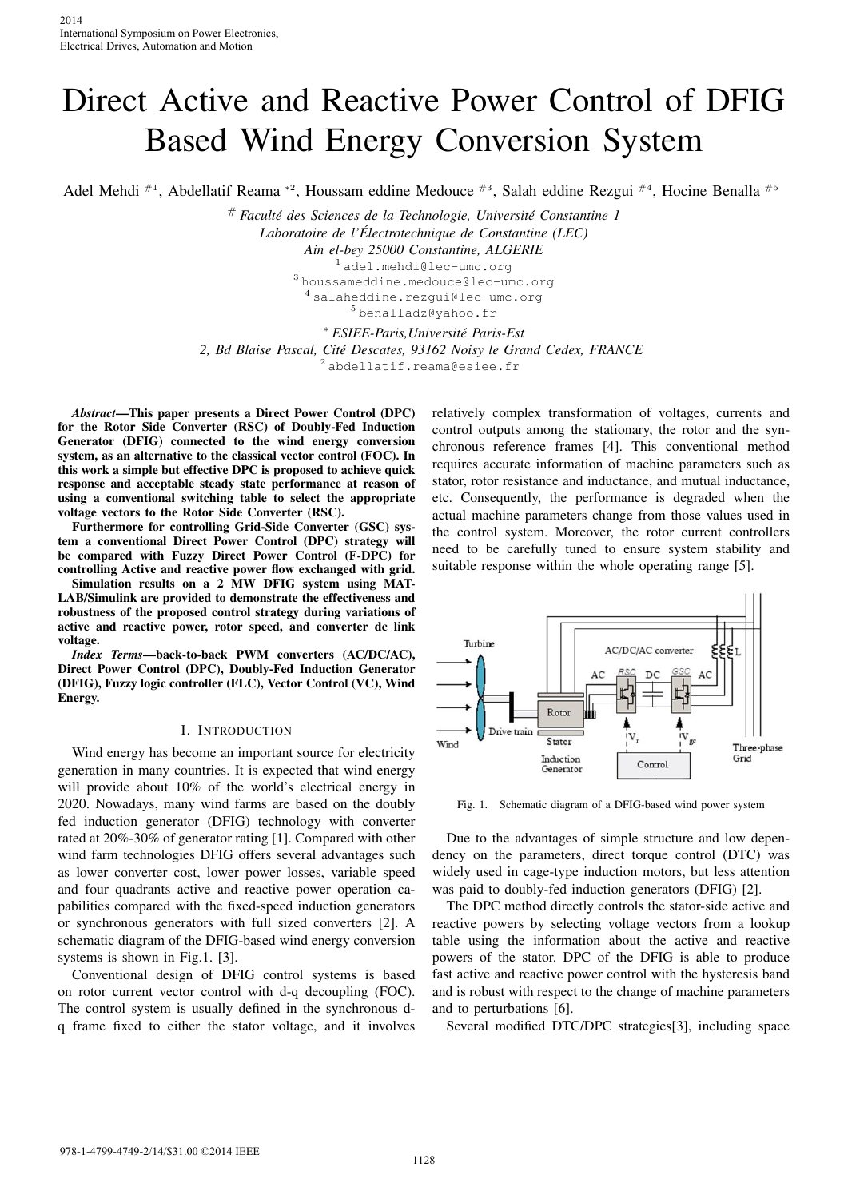# Direct Active and Reactive Power Control of DFIG Based Wind Energy Conversion System

Adel Mehdi <sup>#1</sup>, Abdellatif Reama \*<sup>2</sup>, Houssam eddine Medouce <sup>#3</sup>, Salah eddine Rezgui <sup>#4</sup>, Hocine Benalla <sup>#5</sup>

# *Faculte des Sciences de la Technologie, Universit ´ e Constantine 1 ´ Laboratoire de l'Electrotechnique de Constantine (LEC) ´ Ain el-bey 25000 Constantine, ALGERIE* <sup>1</sup> adel.mehdi@lec-umc.org <sup>3</sup> houssameddine.medouce@lec-umc.org <sup>4</sup> salaheddine.rezqui@lec-umc.org <sup>5</sup> benalladz@yahoo.fr

<sup>∗</sup> *ESIEE-Paris,Universite Paris-Est ´*

*2, Bd Blaise Pascal, Cite Descates, 93162 Noisy le Grand Cedex, FRANCE ´*

<sup>2</sup> abdellatif.reama@esiee.fr

*Abstract*—This paper presents a Direct Power Control (DPC) for the Rotor Side Converter (RSC) of Doubly-Fed Induction Generator (DFIG) connected to the wind energy conversion system, as an alternative to the classical vector control (FOC). In this work a simple but effective DPC is proposed to achieve quick response and acceptable steady state performance at reason of using a conventional switching table to select the appropriate voltage vectors to the Rotor Side Converter (RSC).

Furthermore for controlling Grid-Side Converter (GSC) system a conventional Direct Power Control (DPC) strategy will be compared with Fuzzy Direct Power Control (F-DPC) for controlling Active and reactive power flow exchanged with grid.

Simulation results on a 2 MW DFIG system using MAT-LAB/Simulink are provided to demonstrate the effectiveness and robustness of the proposed control strategy during variations of active and reactive power, rotor speed, and converter dc link voltage.

*Index Terms*—back-to-back PWM converters (AC/DC/AC), Direct Power Control (DPC), Doubly-Fed Induction Generator (DFIG), Fuzzy logic controller (FLC), Vector Control (VC), Wind Energy.

### I. INTRODUCTION

Wind energy has become an important source for electricity generation in many countries. It is expected that wind energy will provide about 10% of the world's electrical energy in 2020. Nowadays, many wind farms are based on the doubly fed induction generator (DFIG) technology with converter rated at 20%-30% of generator rating [1]. Compared with other wind farm technologies DFIG offers several advantages such as lower converter cost, lower power losses, variable speed and four quadrants active and reactive power operation capabilities compared with the fixed-speed induction generators or synchronous generators with full sized converters [2]. A schematic diagram of the DFIG-based wind energy conversion systems is shown in Fig.1. [3]. 2014<br>
2014<br>
2016<br>
International Symposium on Power Electro<br>
Electrical Drives, Automation and Motion<br>
Electrical Drives, Automation and Motion<br>
2. Bd Blai<br>
4<br>
Adel Mehdi <sup>#1</sup>, Abdellatif Rea <br>
# Fac<br>
for the Rotor Side Con

Conventional design of DFIG control systems is based on rotor current vector control with d-q decoupling (FOC). The control system is usually defined in the synchronous dq frame fixed to either the stator voltage, and it involves

relatively complex transformation of voltages, currents and control outputs among the stationary, the rotor and the synchronous reference frames [4]. This conventional method requires accurate information of machine parameters such as stator, rotor resistance and inductance, and mutual inductance, etc. Consequently, the performance is degraded when the actual machine parameters change from those values used in the control system. Moreover, the rotor current controllers need to be carefully tuned to ensure system stability and suitable response within the whole operating range [5].



Fig. 1. Schematic diagram of a DFIG-based wind power system

Due to the advantages of simple structure and low dependency on the parameters, direct torque control (DTC) was widely used in cage-type induction motors, but less attention was paid to doubly-fed induction generators (DFIG) [2].

The DPC method directly controls the stator-side active and reactive powers by selecting voltage vectors from a lookup table using the information about the active and reactive powers of the stator. DPC of the DFIG is able to produce fast active and reactive power control with the hysteresis band and is robust with respect to the change of machine parameters and to perturbations [6].

Several modified DTC/DPC strategies[3], including space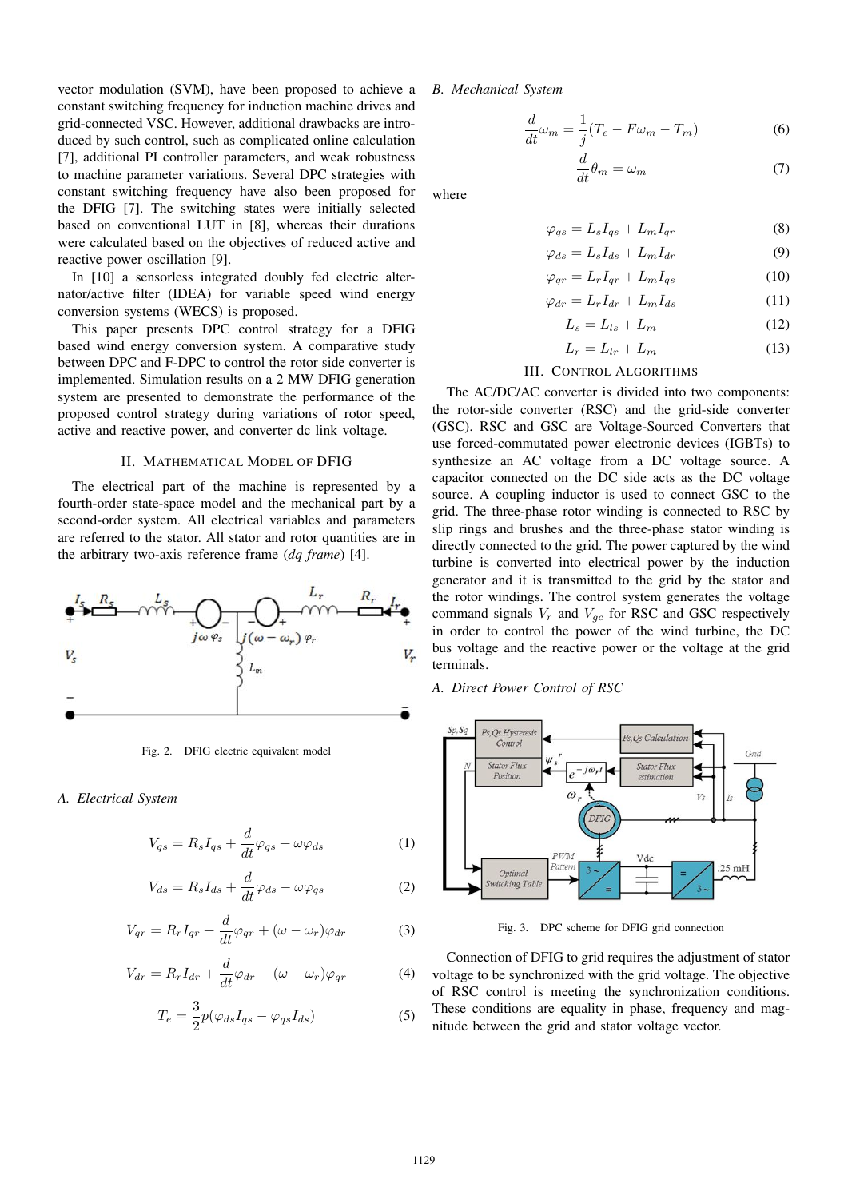vector modulation (SVM), have been proposed to achieve a constant switching frequency for induction machine drives and grid-connected VSC. However, additional drawbacks are introduced by such control, such as complicated online calculation [7], additional PI controller parameters, and weak robustness to machine parameter variations. Several DPC strategies with constant switching frequency have also been proposed for the DFIG [7]. The switching states were initially selected based on conventional LUT in [8], whereas their durations were calculated based on the objectives of reduced active and reactive power oscillation [9].

In [10] a sensorless integrated doubly fed electric alternator/active filter (IDEA) for variable speed wind energy conversion systems (WECS) is proposed.

This paper presents DPC control strategy for a DFIG based wind energy conversion system. A comparative study between DPC and F-DPC to control the rotor side converter is implemented. Simulation results on a 2 MW DFIG generation system are presented to demonstrate the performance of the proposed control strategy during variations of rotor speed, active and reactive power, and converter dc link voltage.

#### II. MATHEMATICAL MODEL OF DFIG

The electrical part of the machine is represented by a fourth-order state-space model and the mechanical part by a second-order system. All electrical variables and parameters are referred to the stator. All stator and rotor quantities are in the arbitrary two-axis reference frame (*dq frame*) [4].



Fig. 2. DFIG electric equivalent model

*A. Electrical System*

$$
V_{qs} = R_s I_{qs} + \frac{d}{dt} \varphi_{qs} + \omega \varphi_{ds}
$$
 (1)

$$
V_{ds} = R_s I_{ds} + \frac{d}{dt} \varphi_{ds} - \omega \varphi_{qs} \tag{2}
$$

$$
V_{qr} = R_r I_{qr} + \frac{d}{dt} \varphi_{qr} + (\omega - \omega_r) \varphi_{dr}
$$
 (3)

$$
V_{dr} = R_r I_{dr} + \frac{d}{dt} \varphi_{dr} - (\omega - \omega_r) \varphi_{qr}
$$
 (4)

$$
T_e = \frac{3}{2}p(\varphi_{ds}I_{qs} - \varphi_{qs}I_{ds})
$$
\n(5)

*B. Mechanical System*

$$
\frac{d}{dt}\omega_m = \frac{1}{j}(T_e - F\omega_m - T_m)
$$
\n(6)

$$
\frac{d}{dt}\theta_m = \omega_m \tag{7}
$$

where

$$
\varphi_{qs} = L_s I_{qs} + L_m I_{qr} \tag{8}
$$

$$
\varphi_{ds} = L_s I_{ds} + L_m I_{dr} \tag{9}
$$

$$
\varphi_{qr} = L_r I_{qr} + L_m I_{qs} \tag{10}
$$

$$
\varphi_{dr} = L_r I_{dr} + L_m I_{ds} \tag{11}
$$

$$
L_s = L_{ls} + L_m \tag{12}
$$

$$
L_r = L_{lr} + L_m \tag{13}
$$

## III. CONTROL ALGORITHMS

The AC/DC/AC converter is divided into two components: the rotor-side converter (RSC) and the grid-side converter (GSC). RSC and GSC are Voltage-Sourced Converters that use forced-commutated power electronic devices (IGBTs) to synthesize an AC voltage from a DC voltage source. A capacitor connected on the DC side acts as the DC voltage source. A coupling inductor is used to connect GSC to the grid. The three-phase rotor winding is connected to RSC by slip rings and brushes and the three-phase stator winding is directly connected to the grid. The power captured by the wind turbine is converted into electrical power by the induction generator and it is transmitted to the grid by the stator and the rotor windings. The control system generates the voltage command signals  $V_r$  and  $V_{gc}$  for RSC and GSC respectively in order to control the power of the wind turbine, the DC bus voltage and the reactive power or the voltage at the grid terminals.

*A. Direct Power Control of RSC*



Fig. 3. DPC scheme for DFIG grid connection

Connection of DFIG to grid requires the adjustment of stator voltage to be synchronized with the grid voltage. The objective of RSC control is meeting the synchronization conditions. These conditions are equality in phase, frequency and magnitude between the grid and stator voltage vector.